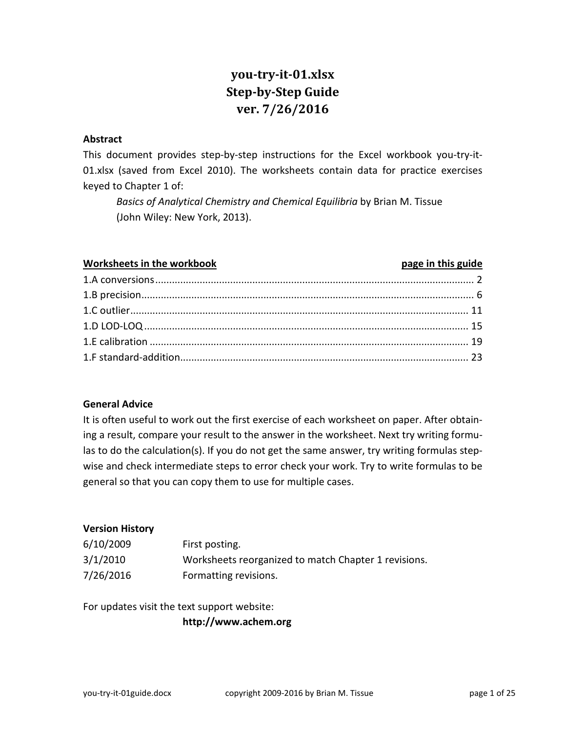# **you-try-it-01.xlsx Step-by-Step Guide ver. 7/26/2016**

#### **Abstract**

This document provides step-by-step instructions for the Excel workbook you-try-it-01.xlsx (saved from Excel 2010). The worksheets contain data for practice exercises keyed to Chapter 1 of:

*Basics of Analytical Chemistry and Chemical Equilibria* by Brian M. Tissue (John Wiley: New York, 2013).

#### **Worksheets in the workbook page in this guide**

#### **General Advice**

It is often useful to work out the first exercise of each worksheet on paper. After obtaining a result, compare your result to the answer in the worksheet. Next try writing formulas to do the calculation(s). If you do not get the same answer, try writing formulas stepwise and check intermediate steps to error check your work. Try to write formulas to be general so that you can copy them to use for multiple cases.

#### **Version History**

| 6/10/2009 | First posting.                                       |
|-----------|------------------------------------------------------|
| 3/1/2010  | Worksheets reorganized to match Chapter 1 revisions. |
| 7/26/2016 | Formatting revisions.                                |

For updates visit the text support website:

**http://www.achem.org**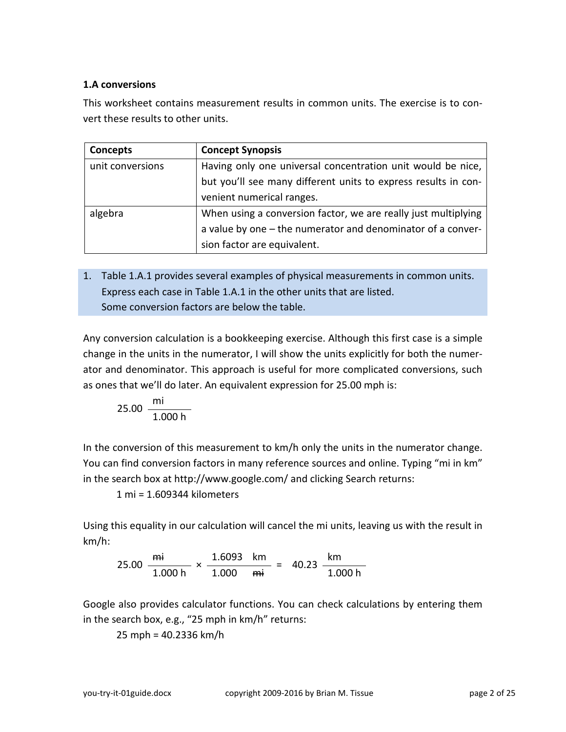## <span id="page-1-0"></span>**1.A conversions**

This worksheet contains measurement results in common units. The exercise is to convert these results to other units.

| Concepts         | <b>Concept Synopsis</b>                                        |
|------------------|----------------------------------------------------------------|
| unit conversions | Having only one universal concentration unit would be nice,    |
|                  | but you'll see many different units to express results in con- |
|                  | venient numerical ranges.                                      |
| algebra          | When using a conversion factor, we are really just multiplying |
|                  | a value by one - the numerator and denominator of a conver-    |
|                  | sion factor are equivalent.                                    |

1. Table 1.A.1 provides several examples of physical measurements in common units. Express each case in Table 1.A.1 in the other units that are listed. Some conversion factors are below the table.

Any conversion calculation is a bookkeeping exercise. Although this first case is a simple change in the units in the numerator, I will show the units explicitly for both the numerator and denominator. This approach is useful for more complicated conversions, such as ones that we'll do later. An equivalent expression for 25.00 mph is:

$$
25.00 \frac{mi}{1.000 h}
$$

In the conversion of this measurement to km/h only the units in the numerator change. You can find conversion factors in many reference sources and online. Typing "mi in km" in the search box at http://www.google.com/ and clicking Search returns:

1 mi = 1.609344 kilometers

Using this equality in our calculation will cancel the mi units, leaving us with the result in km/h:

25.00 mi  $\times \frac{1.6093 \text{ km}}{1.888 \text{ km}} = 40.23 \frac{\text{ km}}{1.88}$ 1.000 h 1.000 <del>mi</del> 1.000 h

Google also provides calculator functions. You can check calculations by entering them in the search box, e.g., "25 mph in km/h" returns:

25 mph = 40.2336 km/h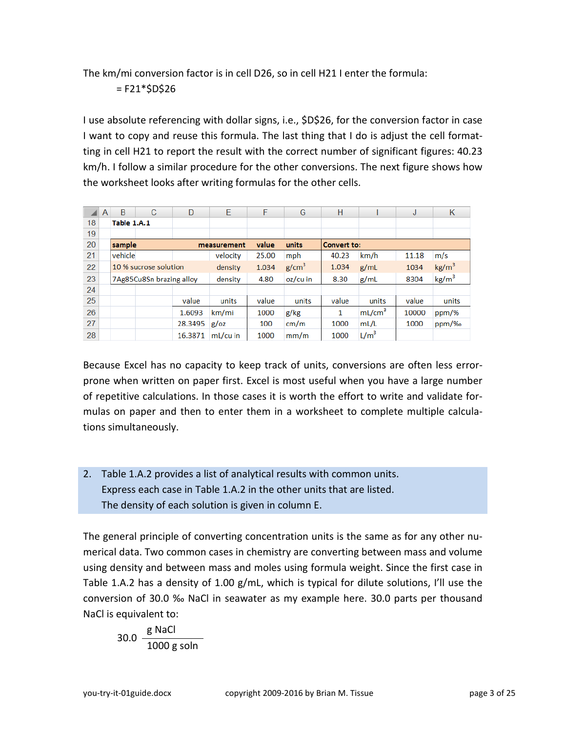The km/mi conversion factor is in cell D26, so in cell H21 I enter the formula:

 $=$  F21 $*$ \$D\$26

I use absolute referencing with dollar signs, i.e., \$D\$26, for the conversion factor in case I want to copy and reuse this formula. The last thing that I do is adjust the cell formatting in cell H21 to report the result with the correct number of significant figures: 40.23 km/h. I follow a similar procedure for the other conversions. The next figure shows how the worksheet looks after writing formulas for the other cells.

|    | A | B                     | C                        | D       | E                             | F     | G                 | н                  |                    | J     | κ                 |
|----|---|-----------------------|--------------------------|---------|-------------------------------|-------|-------------------|--------------------|--------------------|-------|-------------------|
| 18 |   | Table 1.A.1           |                          |         |                               |       |                   |                    |                    |       |                   |
| 19 |   |                       |                          |         |                               |       |                   |                    |                    |       |                   |
| 20 |   | sample                |                          |         | value<br>units<br>measurement |       |                   | <b>Convert to:</b> |                    |       |                   |
| 21 |   | vehicle               |                          |         | velocity                      | 25.00 | mph               | 40.23              | km/h               | 11.18 | m/s               |
| 22 |   | 10 % sucrose solution |                          |         | density                       | 1.034 | g/cm <sup>3</sup> | 1.034              | g/mL               | 1034  | $\text{kg/m}^3$   |
| 23 |   |                       | 7Ag85Cu8Sn brazing alloy |         | density                       | 4.80  | $oz/cu$ in        | 8.30               | g/mL               | 8304  | kg/m <sup>3</sup> |
| 24 |   |                       |                          |         |                               |       |                   |                    |                    |       |                   |
| 25 |   |                       |                          | value   | units                         | value | units             | value              | units              | value | units             |
| 26 |   |                       |                          | 1.6093  | km/mi                         | 1000  | g/kg              | 1                  | mL/cm <sup>3</sup> | 10000 | ppm/%             |
| 27 |   |                       |                          | 28.3495 | $g/\text{o}z$                 | 100   | cm/m              | 1000               | mL/L               | 1000  | ppm/%             |
| 28 |   |                       |                          | 16.3871 | mL/cu in                      | 1000  | mm/m              | 1000               | L/m <sup>3</sup>   |       |                   |

Because Excel has no capacity to keep track of units, conversions are often less errorprone when written on paper first. Excel is most useful when you have a large number of repetitive calculations. In those cases it is worth the effort to write and validate formulas on paper and then to enter them in a worksheet to complete multiple calculations simultaneously.

2. Table 1.A.2 provides a list of analytical results with common units. Express each case in Table 1.A.2 in the other units that are listed. The density of each solution is given in column E.

The general principle of converting concentration units is the same as for any other numerical data. Two common cases in chemistry are converting between mass and volume using density and between mass and moles using formula weight. Since the first case in Table 1.A.2 has a density of 1.00 g/mL, which is typical for dilute solutions, I'll use the conversion of 30.0 ‰ NaCl in seawater as my example here. 30.0 parts per thousand NaCl is equivalent to:

$$
30.0 \frac{\text{g NaCl}}{1000 \text{g soln}}
$$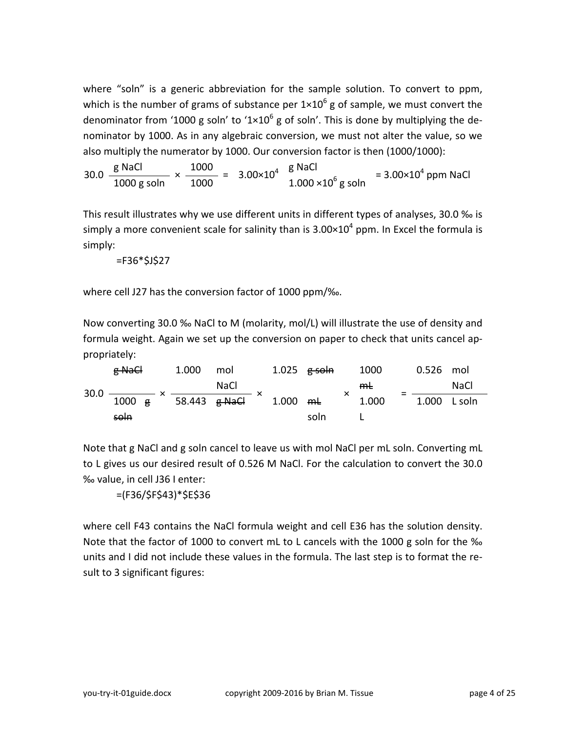where "soln" is a generic abbreviation for the sample solution. To convert to ppm, which is the number of grams of substance per  $1\times10^6$  g of sample, we must convert the denominator from '1000 g soln' to '1×10<sup>6</sup> g of soln'. This is done by multiplying the denominator by 1000. As in any algebraic conversion, we must not alter the value, so we also multiply the numerator by 1000. Our conversion factor is then (1000/1000):

 $30.0 \frac{\text{g NaCl}}{1000} \times$  $\frac{g \text{ NaCl}}{1000 \text{ g soln}} \times \frac{1000}{1000} = 3.00 \times 10^4 \frac{g \text{ NaCl}}{1.000 \times 10^6 \text{ g soln}} = 3.00 \times 10^4 \text{ ppm NaCl}$ 

This result illustrates why we use different units in different types of analyses, 30.0 ‰ is simply a more convenient scale for salinity than is  $3.00 \times 10^4$  ppm. In Excel the formula is simply:

 $=$ F36 $*$ \$J\$27

where cell J27 has the conversion factor of 1000 ppm/‰.

Now converting 30.0 ‰ NaCl to M (molarity, mol/L) will illustrate the use of density and formula weight. Again we set up the conversion on paper to check that units cancel appropriately:

| $30.0 -$ | g NaCl           |  | 1.000                    | mol         |  | 1.025 <del>g soln</del> |      | 1000  | $0.526$ mol  |             |  |
|----------|------------------|--|--------------------------|-------------|--|-------------------------|------|-------|--------------|-------------|--|
|          |                  |  |                          | <b>NaCl</b> |  |                         |      | $m+$  |              | <b>NaCl</b> |  |
|          | $1000 \text{ g}$ |  | 58.443 <del>g NaCl</del> |             |  | 1.000 $mL$              |      | 1.000 | 1.000 L soln |             |  |
|          | soln             |  |                          |             |  |                         | soln |       |              |             |  |

Note that g NaCl and g soln cancel to leave us with mol NaCl per mL soln. Converting mL to L gives us our desired result of 0.526 M NaCl. For the calculation to convert the 30.0 ‰ value, in cell J36 I enter:

=(F36/\$F\$43)\*\$E\$36

where cell F43 contains the NaCl formula weight and cell E36 has the solution density. Note that the factor of 1000 to convert mL to L cancels with the 1000 g soln for the ‰ units and I did not include these values in the formula. The last step is to format the result to 3 significant figures: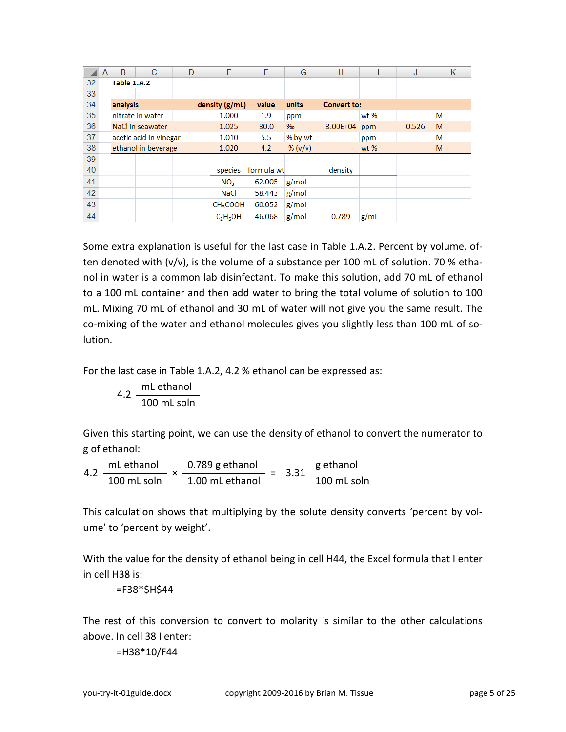|    | A        | B                   | C                      | D | E                    | F          | G       | н                  |      | J     | Κ |  |
|----|----------|---------------------|------------------------|---|----------------------|------------|---------|--------------------|------|-------|---|--|
| 32 |          | Table 1.A.2         |                        |   |                      |            |         |                    |      |       |   |  |
| 33 |          |                     |                        |   |                      |            |         |                    |      |       |   |  |
| 34 | analysis |                     |                        |   | density (g/mL)       | value      | units   | <b>Convert to:</b> |      |       |   |  |
| 35 |          |                     | nitrate in water       |   | 1.000                | 1.9        | ppm     |                    | wt % |       | M |  |
| 36 |          |                     | NaCl in seawater       |   | 1.025                | 30.0       | %       | 3.00E+04           | ppm  | 0.526 | M |  |
| 37 |          |                     | acetic acid in vinegar |   | 1.010                | 5.5        | % by wt |                    | ppm  |       | М |  |
| 38 |          | ethanol in beverage |                        |   | 1.020                | 4.2        | % (v/v) | wt $%$             |      |       | M |  |
| 39 |          |                     |                        |   |                      |            |         |                    |      |       |   |  |
| 40 |          |                     |                        |   | species              | formula wt |         | density            |      |       |   |  |
| 41 |          |                     |                        |   | NO <sub>3</sub>      | 62.005     | g/mol   |                    |      |       |   |  |
| 42 |          |                     |                        |   | <b>NaCl</b>          | 58.443     | g/mol   |                    |      |       |   |  |
| 43 |          |                     |                        |   | CH <sub>3</sub> COOH | 60.052     | g/mol   |                    |      |       |   |  |
| 44 |          |                     |                        |   | $C_2H_5OH$           | 46.068     | g/mol   | 0.789              | g/mL |       |   |  |

Some extra explanation is useful for the last case in Table 1.A.2. Percent by volume, often denoted with (v/v), is the volume of a substance per 100 mL of solution. 70 % ethanol in water is a common lab disinfectant. To make this solution, add 70 mL of ethanol to a 100 mL container and then add water to bring the total volume of solution to 100 mL. Mixing 70 mL of ethanol and 30 mL of water will not give you the same result. The co-mixing of the water and ethanol molecules gives you slightly less than 100 mL of solution.

For the last case in Table 1.A.2, 4.2 % ethanol can be expressed as:

$$
4.2 \frac{mL \text{ ethanol}}{100 \text{ mL soln}}
$$

Given this starting point, we can use the density of ethanol to convert the numerator to g of ethanol:

4.2 mL ethanol  $\times$  0.789 g ethanol = 3.31 g ethanol 100 mL soln 1.00 mL ethanol 100 mL soln

This calculation shows that multiplying by the solute density converts 'percent by volume' to 'percent by weight'.

With the value for the density of ethanol being in cell H44, the Excel formula that I enter in cell H38 is:

=F38\*\$H\$44

The rest of this conversion to convert to molarity is similar to the other calculations above. In cell 38 I enter:

=H38\*10/F44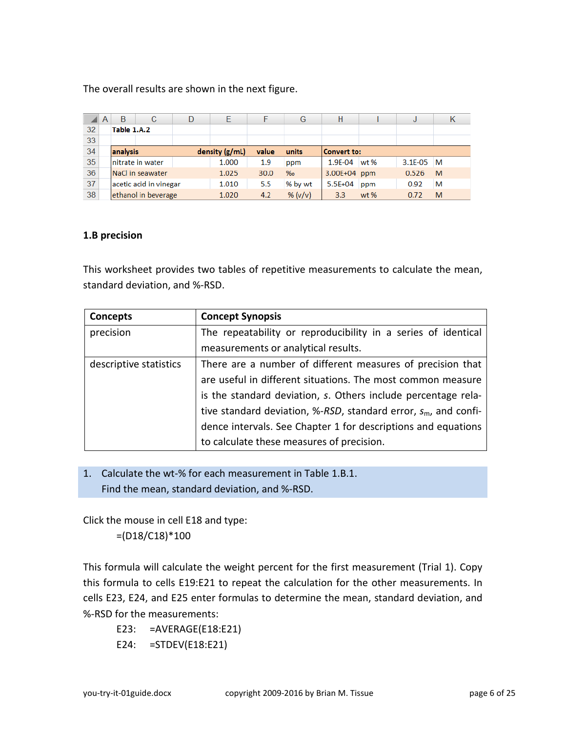The overall results are shown in the next figure.

|    | A | B           | С                      | D | Е             |       | G       | н                  |        | J            | κ |
|----|---|-------------|------------------------|---|---------------|-------|---------|--------------------|--------|--------------|---|
| 32 |   | Table 1.A.2 |                        |   |               |       |         |                    |        |              |   |
| 33 |   |             |                        |   |               |       |         |                    |        |              |   |
| 34 |   | analysis    |                        |   | density(g/ml) | value | units   | <b>Convert to:</b> |        |              |   |
| 35 |   |             | nitrate in water       |   | 1.000         | 1.9   | ppm     | 1.9E-04            | wt %   | $3.1E - 0.5$ | M |
| 36 |   |             | NaCl in seawater       |   | 1.025         | 30.0  | $\%$ o  | 3.00E+04 ppm       |        | 0.526        | M |
| 37 |   |             | acetic acid in vinegar |   | 1.010         | 5.5   | % by wt | $5.5E + 04$        | ppm    | 0.92         | M |
| 38 |   |             | ethanol in beverage    |   | 1.020         | 4.2   | % (v/v) | 3.3 <sub>2</sub>   | $wt$ % | 0.72         | M |

#### <span id="page-5-0"></span>**1.B precision**

This worksheet provides two tables of repetitive measurements to calculate the mean, standard deviation, and %-RSD.

| Concepts               | <b>Concept Synopsis</b>                                            |
|------------------------|--------------------------------------------------------------------|
| precision              | The repeatability or reproducibility in a series of identical      |
|                        | measurements or analytical results.                                |
| descriptive statistics | There are a number of different measures of precision that         |
|                        | are useful in different situations. The most common measure        |
|                        | is the standard deviation, s. Others include percentage rela-      |
|                        | tive standard deviation, %-RSD, standard error, $s_m$ , and confi- |
|                        | dence intervals. See Chapter 1 for descriptions and equations      |
|                        | to calculate these measures of precision.                          |

1. Calculate the wt-% for each measurement in Table 1.B.1. Find the mean, standard deviation, and %-RSD.

Click the mouse in cell E18 and type: =(D18/C18)\*100

This formula will calculate the weight percent for the first measurement (Trial 1). Copy this formula to cells E19:E21 to repeat the calculation for the other measurements. In cells E23, E24, and E25 enter formulas to determine the mean, standard deviation, and %-RSD for the measurements:

E23: =AVERAGE(E18:E21) E24: =STDEV(E18:E21)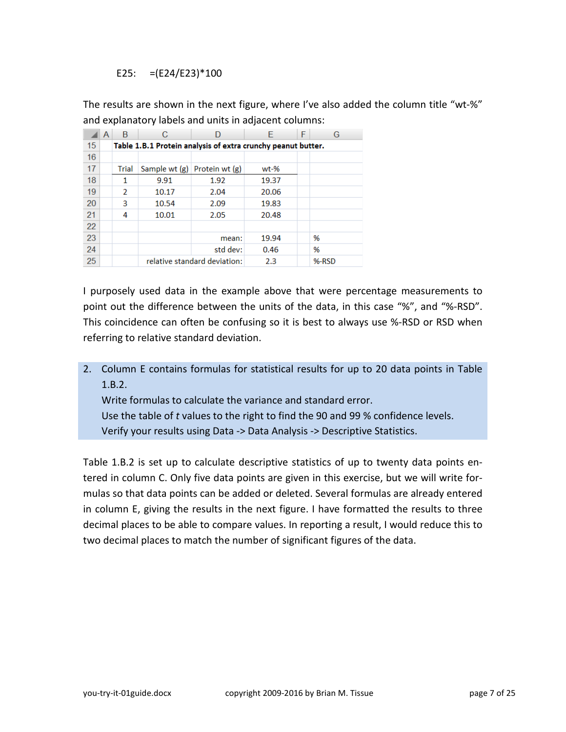E25:  $=(E24/E23)*100$ 

The results are shown in the next figure, where I've also added the column title "wt-%" and explanatory labels and units in adjacent columns:

|    | A | B                                                            | С     |                                  | F      | F | G     |  |  |  |  |  |
|----|---|--------------------------------------------------------------|-------|----------------------------------|--------|---|-------|--|--|--|--|--|
| 15 |   | Table 1.B.1 Protein analysis of extra crunchy peanut butter. |       |                                  |        |   |       |  |  |  |  |  |
| 16 |   |                                                              |       |                                  |        |   |       |  |  |  |  |  |
| 17 |   | Trial                                                        |       | Sample wt $(g)$ Protein wt $(g)$ | $wt-%$ |   |       |  |  |  |  |  |
| 18 |   |                                                              | 9.91  | 1.92                             | 19.37  |   |       |  |  |  |  |  |
| 19 |   | $\mathcal{P}$                                                | 10.17 | 2.04                             | 20.06  |   |       |  |  |  |  |  |
| 20 |   | 3                                                            | 10.54 | 2.09                             | 19.83  |   |       |  |  |  |  |  |
| 21 |   | 4                                                            | 10.01 | 2.05                             | 20.48  |   |       |  |  |  |  |  |
| 22 |   |                                                              |       |                                  |        |   |       |  |  |  |  |  |
| 23 |   |                                                              |       | mean:                            | 19.94  |   | %     |  |  |  |  |  |
| 24 |   |                                                              |       | std dev:                         | 0.46   |   | %     |  |  |  |  |  |
| 25 |   |                                                              |       | relative standard deviation:     | 2.3    |   | %-RSD |  |  |  |  |  |

I purposely used data in the example above that were percentage measurements to point out the difference between the units of the data, in this case "%", and "%-RSD". This coincidence can often be confusing so it is best to always use %-RSD or RSD when referring to relative standard deviation.

2. Column E contains formulas for statistical results for up to 20 data points in Table 1.B.2.

Write formulas to calculate the variance and standard error.

Use the table of *t* values to the right to find the 90 and 99 % confidence levels. Verify your results using Data -> Data Analysis -> Descriptive Statistics.

Table 1.B.2 is set up to calculate descriptive statistics of up to twenty data points entered in column C. Only five data points are given in this exercise, but we will write formulas so that data points can be added or deleted. Several formulas are already entered in column E, giving the results in the next figure. I have formatted the results to three decimal places to be able to compare values. In reporting a result, I would reduce this to two decimal places to match the number of significant figures of the data.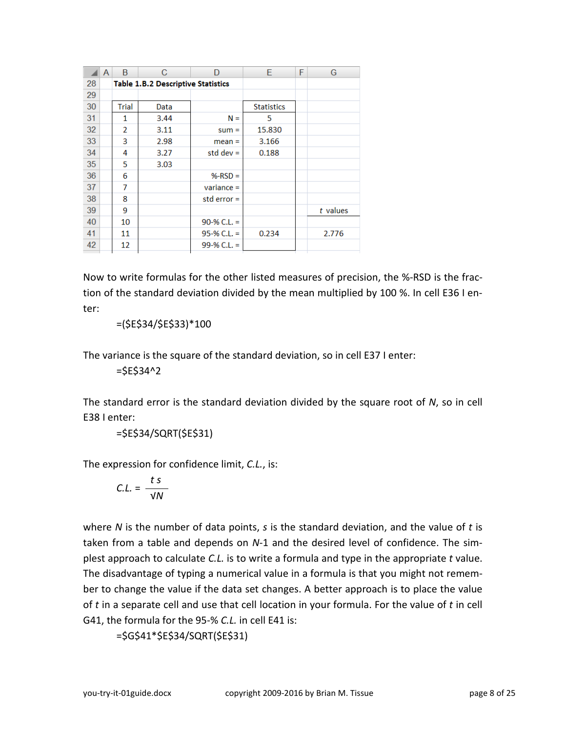|    | A | B             | С                                         | D             | Е                 | F | G          |
|----|---|---------------|-------------------------------------------|---------------|-------------------|---|------------|
| 28 |   |               | <b>Table 1.B.2 Descriptive Statistics</b> |               |                   |   |            |
| 29 |   |               |                                           |               |                   |   |            |
| 30 |   | Trial         | Data                                      |               | <b>Statistics</b> |   |            |
| 31 |   | 1             | 3.44                                      | $N =$         | 5                 |   |            |
| 32 |   | $\mathcal{P}$ | 3.11                                      | $sum =$       | 15.830            |   |            |
| 33 |   | 3             | 2.98                                      | $mean =$      | 3.166             |   |            |
| 34 |   | 4             | 3.27                                      | std dev $=$   | 0.188             |   |            |
| 35 |   | 5             | 3.03                                      |               |                   |   |            |
| 36 |   | 6             |                                           | $%-RSD =$     |                   |   |            |
| 37 |   | 7             |                                           | $variance =$  |                   |   |            |
| 38 |   | 8             |                                           | std error $=$ |                   |   |            |
| 39 |   | 9             |                                           |               |                   |   | $t$ values |
| 40 |   | 10            |                                           | $90-% C.L. =$ |                   |   |            |
| 41 |   | 11            |                                           | $95-% C.L. =$ | 0.234             |   | 2.776      |
| 42 |   | 12            |                                           | 99-% C.L. =   |                   |   |            |
|    |   |               |                                           |               |                   |   |            |

Now to write formulas for the other listed measures of precision, the %-RSD is the fraction of the standard deviation divided by the mean multiplied by 100 %. In cell E36 I enter:

=(\$E\$34/\$E\$33)\*100

The variance is the square of the standard deviation, so in cell E37 I enter:

=\$E\$34^2

The standard error is the standard deviation divided by the square root of *N*, so in cell E38 I enter:

```
=$E$34/SQRT($E$31)
```
The expression for confidence limit, *C.L.*, is:

$$
C.L. = \frac{ts}{\sqrt{N}}
$$

where *N* is the number of data points, *s* is the standard deviation, and the value of *t* is taken from a table and depends on *N*-1 and the desired level of confidence. The simplest approach to calculate *C.L.* is to write a formula and type in the appropriate *t* value. The disadvantage of typing a numerical value in a formula is that you might not remember to change the value if the data set changes. A better approach is to place the value of *t* in a separate cell and use that cell location in your formula. For the value of *t* in cell G41, the formula for the 95-% *C.L.* in cell E41 is:

```
=$G$41*$E$34/SQRT($E$31)
```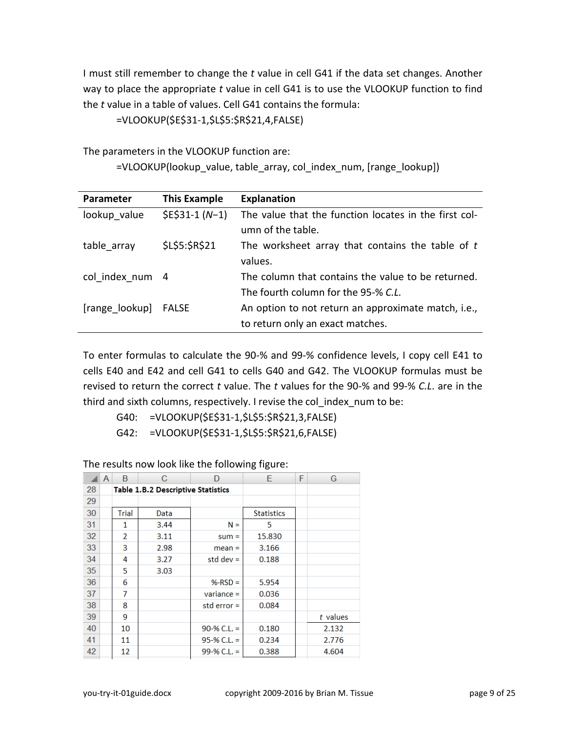I must still remember to change the *t* value in cell G41 if the data set changes. Another way to place the appropriate *t* value in cell G41 is to use the VLOOKUP function to find the *t* value in a table of values. Cell G41 contains the formula:

=VLOOKUP(\$E\$31-1,\$L\$5:\$R\$21,4,FALSE)

The parameters in the VLOOKUP function are:

=VLOOKUP(lookup\_value, table\_array, col\_index\_num, [range\_lookup])

| Parameter       | <b>This Example</b> | <b>Explanation</b>                                    |
|-----------------|---------------------|-------------------------------------------------------|
| lookup value    | $$E$31-1(N-1)$      | The value that the function locates in the first col- |
|                 |                     | umn of the table.                                     |
| table array     | \$L\$5:\$R\$21      | The worksheet array that contains the table of $t$    |
|                 |                     | values.                                               |
| col index num 4 |                     | The column that contains the value to be returned.    |
|                 |                     | The fourth column for the 95-% C.L.                   |
| [range lookup]  | FALSE               | An option to not return an approximate match, i.e.,   |
|                 |                     | to return only an exact matches.                      |

To enter formulas to calculate the 90-% and 99-% confidence levels, I copy cell E41 to cells E40 and E42 and cell G41 to cells G40 and G42. The VLOOKUP formulas must be revised to return the correct *t* value. The *t* values for the 90-% and 99-% *C.L*. are in the third and sixth columns, respectively. I revise the col index num to be:

G40: =VLOOKUP(\$E\$31-1,\$L\$5:\$R\$21,3,FALSE)

G42: =VLOOKUP(\$E\$31-1,\$L\$5:\$R\$21,6,FALSE)

|    | A | B            | С                                         | D             | E                 | F | G          |
|----|---|--------------|-------------------------------------------|---------------|-------------------|---|------------|
| 28 |   |              | <b>Table 1.B.2 Descriptive Statistics</b> |               |                   |   |            |
| 29 |   |              |                                           |               |                   |   |            |
| 30 |   | <b>Trial</b> | Data                                      |               | <b>Statistics</b> |   |            |
| 31 |   | 1            | 3.44                                      | $N =$         | 5                 |   |            |
| 32 |   | 2            | 3.11                                      | $sum =$       | 15.830            |   |            |
| 33 |   | 3            | 2.98                                      | $mean =$      | 3.166             |   |            |
| 34 |   | 4            | 3.27                                      | std dev $=$   | 0.188             |   |            |
| 35 |   | 5            | 3.03                                      |               |                   |   |            |
| 36 |   | 6            |                                           | $%-RSD =$     | 5.954             |   |            |
| 37 |   | 7            |                                           | $variance =$  | 0.036             |   |            |
| 38 |   | 8            |                                           | std error $=$ | 0.084             |   |            |
| 39 |   | 9            |                                           |               |                   |   | $t$ values |
| 40 |   | 10           |                                           | $90-% C.L. =$ | 0.180             |   | 2.132      |
| 41 |   | 11           |                                           | $95-% C.L. =$ | 0.234             |   | 2.776      |
| 42 |   | 12           |                                           | 99-% C.L. =   | 0.388             |   | 4.604      |

The results now look like the following figure: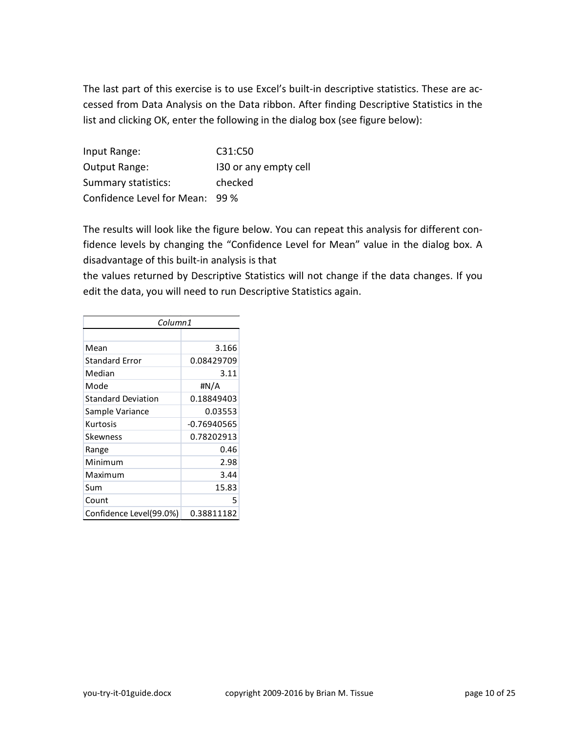The last part of this exercise is to use Excel's built-in descriptive statistics. These are accessed from Data Analysis on the Data ribbon. After finding Descriptive Statistics in the list and clicking OK, enter the following in the dialog box (see figure below):

Input Range: C31:C50 Output Range: I30 or any empty cell Summary statistics: checked Confidence Level for Mean: 99 %

The results will look like the figure below. You can repeat this analysis for different confidence levels by changing the "Confidence Level for Mean" value in the dialog box. A disadvantage of this built-in analysis is that

the values returned by Descriptive Statistics will not change if the data changes. If you edit the data, you will need to run Descriptive Statistics again.

| Column1                   |               |
|---------------------------|---------------|
|                           |               |
| Mean                      | 3.166         |
| <b>Standard Error</b>     | 0.08429709    |
| Median                    | 3.11          |
| Mode                      | #N/A          |
| <b>Standard Deviation</b> | 0.18849403    |
| Sample Variance           | 0.03553       |
| Kurtosis                  | $-0.76940565$ |
| Skewness                  | 0.78202913    |
| Range                     | 0.46          |
| Minimum                   | 2.98          |
| Maximum                   | 3.44          |
| Sum                       | 15.83         |
| Count                     | 5             |
| Confidence Level(99.0%)   | 0.38811182    |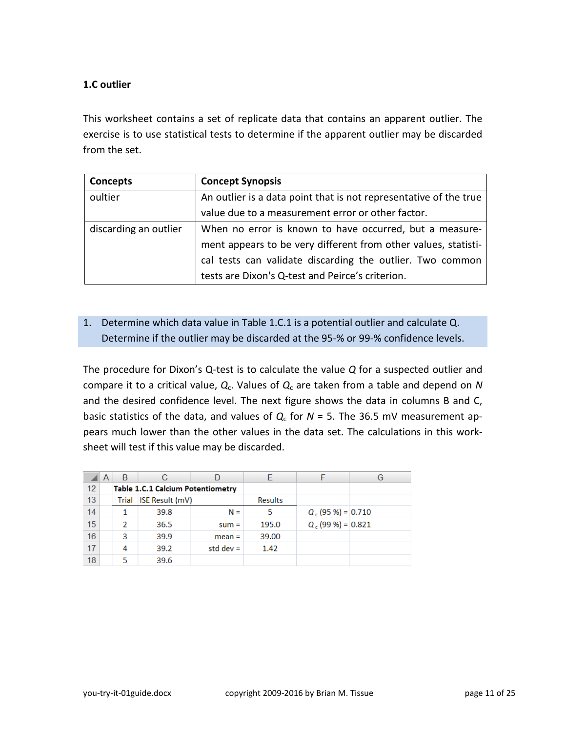#### <span id="page-10-0"></span>**1.C outlier**

This worksheet contains a set of replicate data that contains an apparent outlier. The exercise is to use statistical tests to determine if the apparent outlier may be discarded from the set.

| Concepts              | <b>Concept Synopsis</b>                                           |
|-----------------------|-------------------------------------------------------------------|
| oultier               | An outlier is a data point that is not representative of the true |
|                       | value due to a measurement error or other factor.                 |
| discarding an outlier | When no error is known to have occurred, but a measure-           |
|                       | ment appears to be very different from other values, statisti-    |
|                       | cal tests can validate discarding the outlier. Two common         |
|                       | tests are Dixon's Q-test and Peirce's criterion.                  |

## 1. Determine which data value in Table 1.C.1 is a potential outlier and calculate Q. Determine if the outlier may be discarded at the 95-% or 99-% confidence levels.

The procedure for Dixon's Q-test is to calculate the value *Q* for a suspected outlier and compare it to a critical value, *Q*c. Values of *Q*<sup>c</sup> are taken from a table and depend on *N* and the desired confidence level. The next figure shows the data in columns B and C, basic statistics of the data, and values of  $Q_c$  for  $N = 5$ . The 36.5 mV measurement appears much lower than the other values in the data set. The calculations in this worksheet will test if this value may be discarded.

|    | A | B     | С                                        |             | F              |                      | G |
|----|---|-------|------------------------------------------|-------------|----------------|----------------------|---|
| 12 |   |       | <b>Table 1.C.1 Calcium Potentiometry</b> |             |                |                      |   |
| 13 |   | Trial | <b>ISE Result (mV)</b>                   |             | <b>Results</b> |                      |   |
| 14 |   |       | 39.8                                     | $N =$       | 5              | $Q_c$ (95 %) = 0.710 |   |
| 15 |   | 2     | 36.5                                     | $sum =$     | 195.0          | $Q_c$ (99 %) = 0.821 |   |
| 16 |   | 3     | 39.9                                     | $mean =$    | 39.00          |                      |   |
| 17 |   | 4     | 39.2                                     | std dev $=$ | 1.42           |                      |   |
| 18 |   | 5     | 39.6                                     |             |                |                      |   |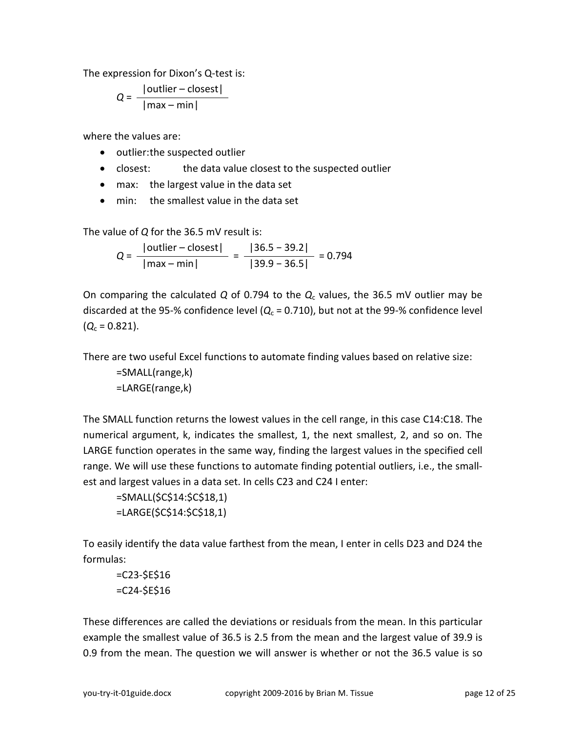The expression for Dixon's Q-test is:

$$
Q = \frac{|\text{outlier} - \text{closest}|}{|\text{max} - \text{min}|}
$$

where the values are:

- outlier:the suspected outlier
- closest: the data value closest to the suspected outlier
- max: the largest value in the data set
- min: the smallest value in the data set

The value of *Q* for the 36.5 mV result is:

 $Q = \frac{|\text{outlier} - \text{closest}|}{\frac{1}{2} - \frac{1}{2} = \frac{136.5 - 39.2}{25.5 - 1} = 0.794$ |max – min| |39.9 − 36.5|

On comparing the calculated *Q* of 0.794 to the *Q*<sup>c</sup> values, the 36.5 mV outlier may be discarded at the 95-% confidence level  $(Q_c = 0.710)$ , but not at the 99-% confidence level  $(Q_c = 0.821)$ .

There are two useful Excel functions to automate finding values based on relative size:

=SMALL(range,k) =LARGE(range,k)

The SMALL function returns the lowest values in the cell range, in this case C14:C18. The numerical argument, k, indicates the smallest, 1, the next smallest, 2, and so on. The LARGE function operates in the same way, finding the largest values in the specified cell range. We will use these functions to automate finding potential outliers, i.e., the smallest and largest values in a data set. In cells C23 and C24 I enter:

```
=SMALL($C$14:$C$18,1)
=LARGE($C$14:$C$18,1)
```
To easily identify the data value farthest from the mean, I enter in cells D23 and D24 the formulas:

```
=C23-$E$16
=C24-$E$16
```
These differences are called the deviations or residuals from the mean. In this particular example the smallest value of 36.5 is 2.5 from the mean and the largest value of 39.9 is 0.9 from the mean. The question we will answer is whether or not the 36.5 value is so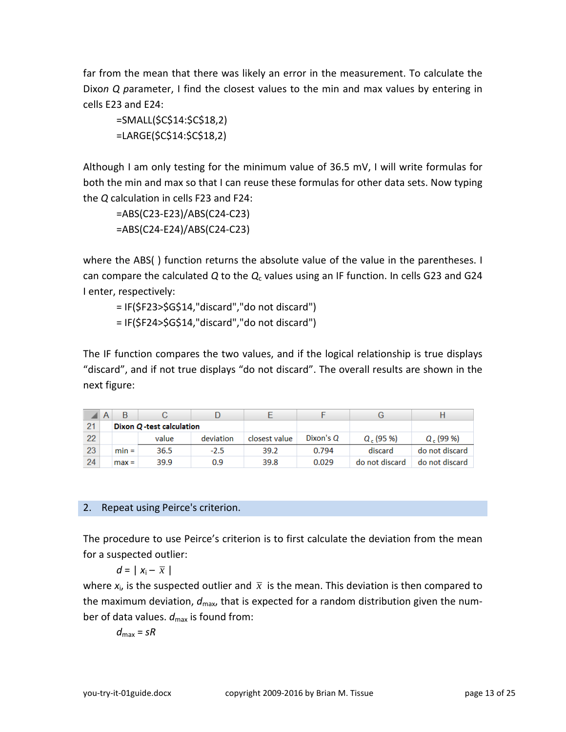far from the mean that there was likely an error in the measurement. To calculate the Dixo*n Q p*arameter, I find the closest values to the min and max values by entering in cells E23 and E24:

```
=SMALL($C$14:$C$18,2)
=LARGE($C$14:$C$18,2)
```
Although I am only testing for the minimum value of 36.5 mV, I will write formulas for both the min and max so that I can reuse these formulas for other data sets. Now typing the *Q* calculation in cells F23 and F24:

=ABS(C23-E23)/ABS(C24-C23) =ABS(C24-E24)/ABS(C24-C23)

where the ABS( ) function returns the absolute value of the value in the parentheses. I can compare the calculated *Q* to the *Q*<sup>c</sup> values using an IF function. In cells G23 and G24 I enter, respectively:

= IF(\$F23>\$G\$14,"discard","do not discard") = IF(\$F24>\$G\$14,"discard","do not discard")

The IF function compares the two values, and if the logical relationship is true displays "discard", and if not true displays "do not discard". The overall results are shown in the next figure:

|    | A |                           |       |           |               |           |                |                |
|----|---|---------------------------|-------|-----------|---------------|-----------|----------------|----------------|
| 21 |   | Dixon Q -test calculation |       |           |               |           |                |                |
| 22 |   |                           | value | deviation | closest value | Dixon's Q | $Q$ , (95 %)   | $Q$ , (99 %)   |
| 23 |   | $min =$                   | 36.5  | $-2.5$    | 39.2          | 0.794     | discard        | do not discard |
| 24 |   | $max =$                   | 39.9  | 0.9       | 39.8          | 0.029     | do not discard | do not discard |

## 2. Repeat using Peirce's criterion.

The procedure to use Peirce's criterion is to first calculate the deviation from the mean for a suspected outlier:

*d* =  $|x_i - \overline{x}|$ 

where  $x_i$ , is the suspected outlier and  $\bar{x}$  is the mean. This deviation is then compared to the maximum deviation,  $d_{\text{max}}$ , that is expected for a random distribution given the number of data values.  $d_{\text{max}}$  is found from:

 $d_{\text{max}} = sR$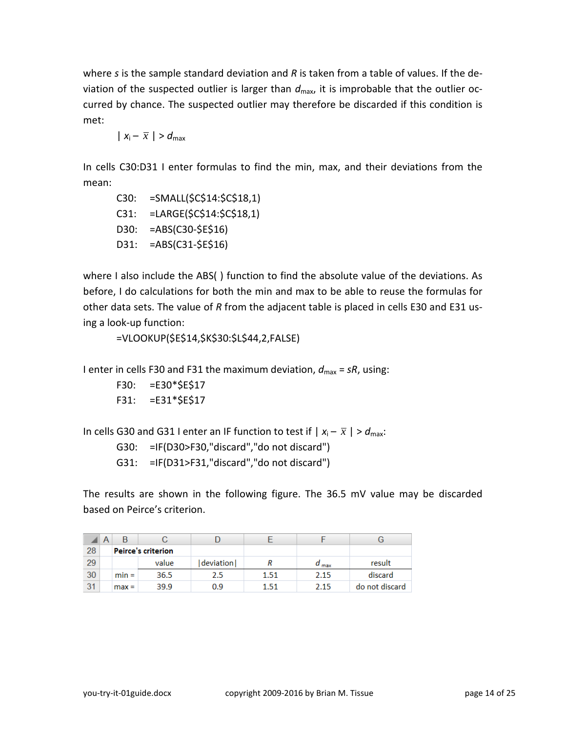where *s* is the sample standard deviation and *R* is taken from a table of values. If the deviation of the suspected outlier is larger than  $d_{\text{max}}$ , it is improbable that the outlier occurred by chance. The suspected outlier may therefore be discarded if this condition is met:

$$
|x_i - \overline{x}| > d_{\max}
$$

In cells C30:D31 I enter formulas to find the min, max, and their deviations from the mean:

C30: =SMALL(\$C\$14:\$C\$18,1) C31: =LARGE(\$C\$14:\$C\$18,1) D30: =ABS(C30-\$E\$16) D31: =ABS(C31-\$E\$16)

where I also include the ABS( ) function to find the absolute value of the deviations. As before, I do calculations for both the min and max to be able to reuse the formulas for other data sets. The value of *R* from the adjacent table is placed in cells E30 and E31 using a look-up function:

```
=VLOOKUP($E$14,$K$30:$L$44,2,FALSE)
```

```
I enter in cells F30 and F31 the maximum deviation, d_{\text{max}} = sR, using:
```

```
F30: =E30*$E$17
F31: =E31*$E$17
```

```
In cells G30 and G31 I enter an IF function to test if |x_i - \overline{x}| > d_{\text{max}}.
```

```
G30: =IF(D30>F30,"discard","do not discard")
```

```
G31: =IF(D31>F31,"discard","do not discard")
```
The results are shown in the following figure. The 36.5 mV value may be discarded based on Peirce's criterion.

|    | Α |                           |       |           |      |                  |                |
|----|---|---------------------------|-------|-----------|------|------------------|----------------|
| 28 |   | <b>Peirce's criterion</b> |       |           |      |                  |                |
| 29 |   |                           | value | deviation |      | $u_{\text{max}}$ | result         |
| 30 |   | $min =$                   | 36.5  | 2.5       | 1.51 | 2.15             | discard        |
| 31 |   | $max =$                   | 39.9  | 0.9       | 1.51 | 2.15             | do not discard |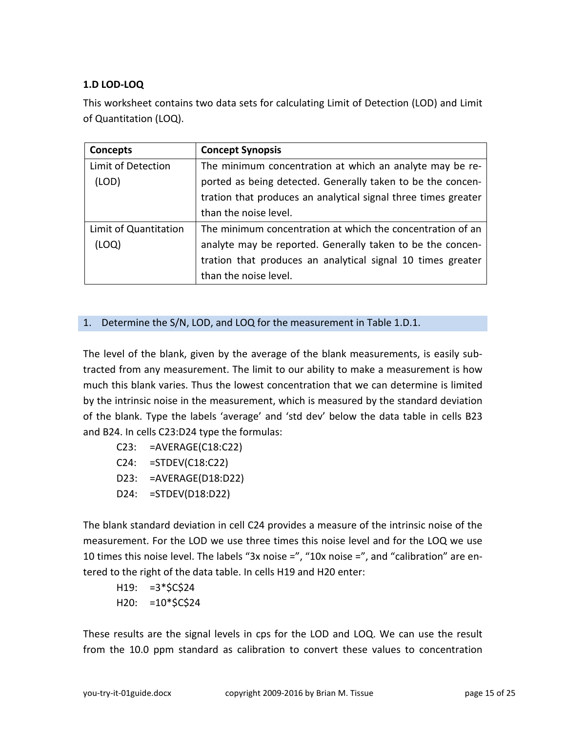## <span id="page-14-0"></span>**1.D LOD-LOQ**

This worksheet contains two data sets for calculating Limit of Detection (LOD) and Limit of Quantitation (LOQ).

| Concepts              | <b>Concept Synopsis</b>                                        |
|-----------------------|----------------------------------------------------------------|
| Limit of Detection    | The minimum concentration at which an analyte may be re-       |
| (LOD)                 | ported as being detected. Generally taken to be the concen-    |
|                       | tration that produces an analytical signal three times greater |
|                       | than the noise level.                                          |
| Limit of Quantitation | The minimum concentration at which the concentration of an     |
| (LOQ)                 | analyte may be reported. Generally taken to be the concen-     |
|                       | tration that produces an analytical signal 10 times greater    |
|                       | than the noise level.                                          |

## 1. Determine the S/N, LOD, and LOQ for the measurement in Table 1.D.1.

The level of the blank, given by the average of the blank measurements, is easily subtracted from any measurement. The limit to our ability to make a measurement is how much this blank varies. Thus the lowest concentration that we can determine is limited by the intrinsic noise in the measurement, which is measured by the standard deviation of the blank. Type the labels 'average' and 'std dev' below the data table in cells B23 and B24. In cells C23:D24 type the formulas:

- C23: =AVERAGE(C18:C22)
- C24: =STDEV(C18:C22)
- D23: =AVERAGE(D18:D22)
- D24: =STDEV(D18:D22)

The blank standard deviation in cell C24 provides a measure of the intrinsic noise of the measurement. For the LOD we use three times this noise level and for the LOQ we use 10 times this noise level. The labels "3x noise =", "10x noise =", and "calibration" are entered to the right of the data table. In cells H19 and H20 enter:

 $H19: =3*$C$24$  $H20: =10*{$C$24}$ 

These results are the signal levels in cps for the LOD and LOQ. We can use the result from the 10.0 ppm standard as calibration to convert these values to concentration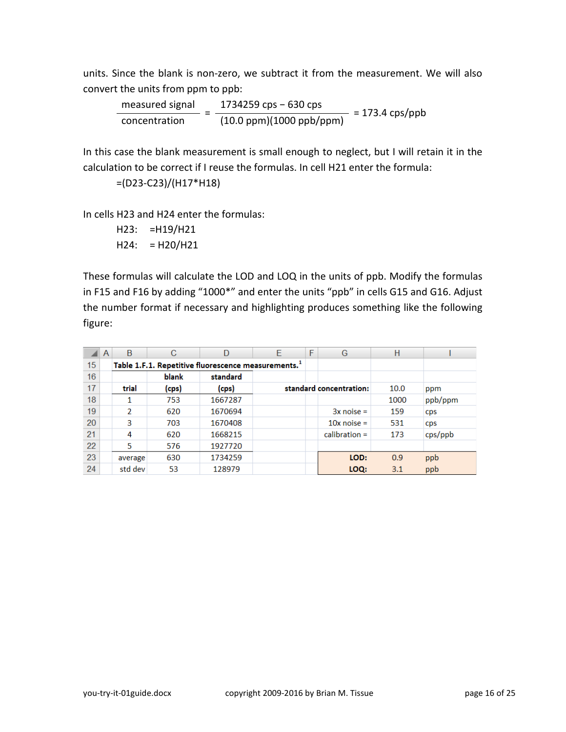units. Since the blank is non-zero, we subtract it from the measurement. We will also convert the units from ppm to ppb:

measured signal  $\frac{1734259 \text{ cps} - 630 \text{ cps}}{(10.0 \text{ ppm})(1000 \text{ ppb/ppm})} = 173.4 \text{ cps/ppb}$ 

In this case the blank measurement is small enough to neglect, but I will retain it in the calculation to be correct if I reuse the formulas. In cell H21 enter the formula:

=(D23-C23)/(H17\*H18)

In cells H23 and H24 enter the formulas:

H23: =H19/H21  $H24: = H20/H21$ 

These formulas will calculate the LOD and LOQ in the units of ppb. Modify the formulas in F15 and F16 by adding "1000\*" and enter the units "ppb" in cells G15 and G16. Adjust the number format if necessary and highlighting produces something like the following figure:

|    | A | B       | C     | D                                                               | F | F | G                       | H    |            |
|----|---|---------|-------|-----------------------------------------------------------------|---|---|-------------------------|------|------------|
| 15 |   |         |       | Table 1.F.1. Repetitive fluorescence measurements. <sup>1</sup> |   |   |                         |      |            |
| 16 |   |         | blank | standard                                                        |   |   |                         |      |            |
| 17 |   | trial   | (cps) | (cps)                                                           |   |   | standard concentration: | 10.0 | ppm        |
| 18 |   |         | 753   | 1667287                                                         |   |   |                         | 1000 | ppb/ppm    |
| 19 |   | 2       | 620   | 1670694                                                         |   |   | $3x$ noise =            | 159  | <b>CDS</b> |
| 20 |   | 3       | 703   | 1670408                                                         |   |   | $10x$ noise =           | 531  | <b>CDS</b> |
| 21 |   | 4       | 620   | 1668215                                                         |   |   | $calibration =$         | 173  | cps(ppb    |
| 22 |   | 5       | 576   | 1927720                                                         |   |   |                         |      |            |
| 23 |   | average | 630   | 1734259                                                         |   |   | LOD:                    | 0.9  | ppb        |
| 24 |   | std dev | 53    | 128979                                                          |   |   | LOQ:                    | 3.1  | ppb        |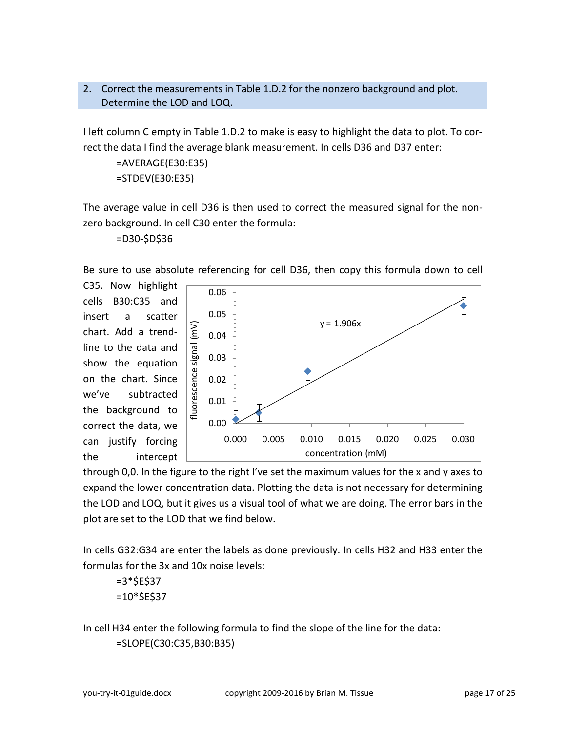#### 2. Correct the measurements in Table 1.D.2 for the nonzero background and plot. Determine the LOD and LOQ.

I left column C empty in Table 1.D.2 to make is easy to highlight the data to plot. To correct the data I find the average blank measurement. In cells D36 and D37 enter:

```
=AVERAGE(E30:E35)
=STDEV(E30:E35)
```
The average value in cell D36 is then used to correct the measured signal for the nonzero background. In cell C30 enter the formula:

=D30-\$D\$36

Be sure to use absolute referencing for cell D36, then copy this formula down to cell

C35. Now highlight cells B30:C35 and insert a scatter chart. Add a trendline to the data and show the equation on the chart. Since we've subtracted the background to correct the data, we can justify forcing the intercept



through 0,0. In the figure to the right I've set the maximum values for the x and y axes to expand the lower concentration data. Plotting the data is not necessary for determining the LOD and LOQ, but it gives us a visual tool of what we are doing. The error bars in the plot are set to the LOD that we find below.

In cells G32:G34 are enter the labels as done previously. In cells H32 and H33 enter the formulas for the 3x and 10x noise levels:

```
=3*SE$37
=10*5E$37
```
In cell H34 enter the following formula to find the slope of the line for the data: =SLOPE(C30:C35,B30:B35)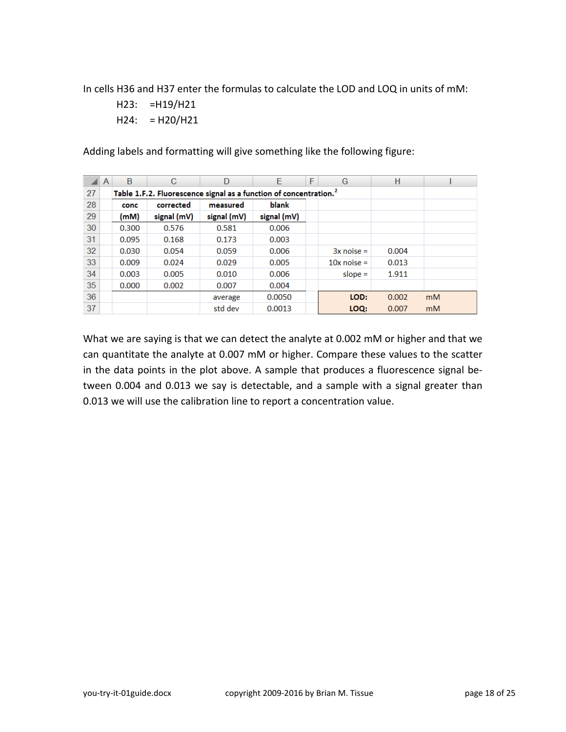In cells H36 and H37 enter the formulas to calculate the LOD and LOQ in units of mM:

H23: =H19/H21  $H24: = H20/H21$ 

Adding labels and formatting will give something like the following figure:

|    | A | B     | C                                                                             | D           | E           | F | G             | н     |    |
|----|---|-------|-------------------------------------------------------------------------------|-------------|-------------|---|---------------|-------|----|
| 27 |   |       | Table 1.F.2. Fluorescence signal as a function of concentration. <sup>2</sup> |             |             |   |               |       |    |
| 28 |   | conc  | corrected                                                                     | measured    | blank       |   |               |       |    |
| 29 |   | (mM)  | signal (mV)                                                                   | signal (mV) | signal (mV) |   |               |       |    |
| 30 |   | 0.300 | 0.576                                                                         | 0.581       | 0.006       |   |               |       |    |
| 31 |   | 0.095 | 0.168                                                                         | 0.173       | 0.003       |   |               |       |    |
| 32 |   | 0.030 | 0.054                                                                         | 0.059       | 0.006       |   | $3x$ noise =  | 0.004 |    |
| 33 |   | 0.009 | 0.024                                                                         | 0.029       | 0.005       |   | $10x$ noise = | 0.013 |    |
| 34 |   | 0.003 | 0.005                                                                         | 0.010       | 0.006       |   | slope $=$     | 1.911 |    |
| 35 |   | 0.000 | 0.002                                                                         | 0.007       | 0.004       |   |               |       |    |
| 36 |   |       |                                                                               | average     | 0.0050      |   | LOD:          | 0.002 | mM |
| 37 |   |       |                                                                               | std dev     | 0.0013      |   | LOO:          | 0.007 | mM |

What we are saying is that we can detect the analyte at 0.002 mM or higher and that we can quantitate the analyte at 0.007 mM or higher. Compare these values to the scatter in the data points in the plot above. A sample that produces a fluorescence signal between 0.004 and 0.013 we say is detectable, and a sample with a signal greater than 0.013 we will use the calibration line to report a concentration value.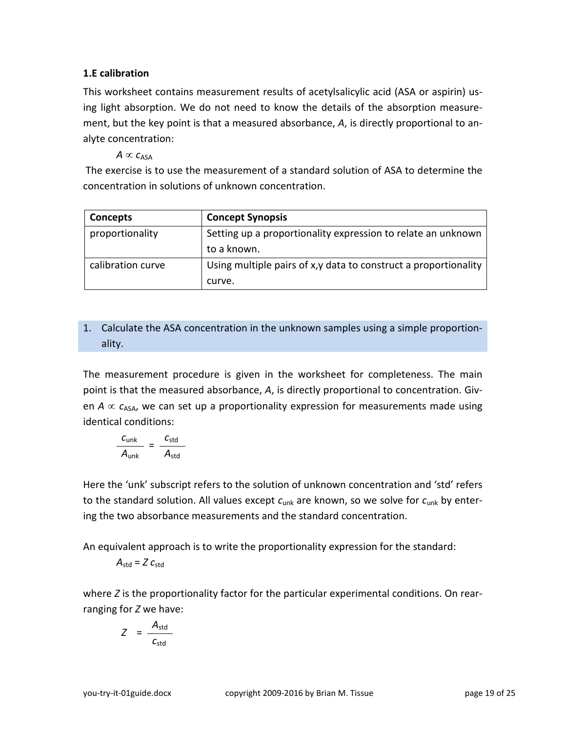#### <span id="page-18-0"></span>**1.E calibration**

This worksheet contains measurement results of acetylsalicylic acid (ASA or aspirin) using light absorption. We do not need to know the details of the absorption measurement, but the key point is that a measured absorbance, *A*, is directly proportional to analyte concentration:

 $A \propto c_{\text{ASA}}$ 

The exercise is to use the measurement of a standard solution of ASA to determine the concentration in solutions of unknown concentration.

| Concepts          | <b>Concept Synopsis</b>                                          |
|-------------------|------------------------------------------------------------------|
| proportionality   | Setting up a proportionality expression to relate an unknown     |
|                   | to a known.                                                      |
| calibration curve | Using multiple pairs of x, y data to construct a proportionality |
|                   | curve.                                                           |

# 1. Calculate the ASA concentration in the unknown samples using a simple proportionality.

The measurement procedure is given in the worksheet for completeness. The main point is that the measured absorbance, *A*, is directly proportional to concentration. Given  $A \propto c_{\text{ASA}}$ , we can set up a proportionality expression for measurements made using identical conditions:

$$
\frac{c_{\text{unk}}}{A_{\text{unk}}} = \frac{c_{\text{std}}}{A_{\text{std}}}
$$

Here the 'unk' subscript refers to the solution of unknown concentration and 'std' refers to the standard solution. All values except *c*unk are known, so we solve for *c*unk by entering the two absorbance measurements and the standard concentration.

An equivalent approach is to write the proportionality expression for the standard:

$$
A_{\rm std} = Z c_{\rm std}
$$

where *Z* is the proportionality factor for the particular experimental conditions. On rearranging for *Z* we have:

$$
Z = \frac{A_{\text{std}}}{C_{\text{std}}}
$$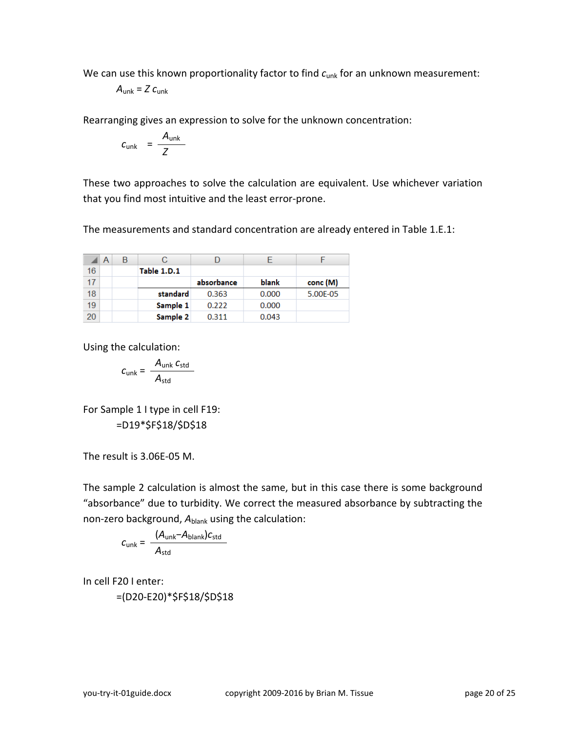We can use this known proportionality factor to find  $c<sub>unk</sub>$  for an unknown measurement:

$$
A_{\text{unk}} = Z c_{\text{unk}}
$$

Rearranging gives an expression to solve for the unknown concentration:

$$
c_{\text{unk}} = \frac{A_{\text{unk}}}{Z}
$$

These two approaches to solve the calculation are equivalent. Use whichever variation that you find most intuitive and the least error-prone.

The measurements and standard concentration are already entered in Table 1.E.1:

|    | $\overline{A}$ | В |             |            |       |          |
|----|----------------|---|-------------|------------|-------|----------|
| 16 |                |   | Table 1.D.1 |            |       |          |
| 17 |                |   |             | absorbance | blank | conc (M) |
| 18 |                |   | standard    | 0.363      | 0.000 | 5.00E-05 |
| 19 |                |   | Sample 1    | 0.222      | 0.000 |          |
| 20 |                |   | Sample 2    | 0.311      | 0.043 |          |

Using the calculation:

$$
c_{\text{unk}} = \frac{A_{\text{unk}} c_{\text{std}}}{A_{\text{std}}}
$$

For Sample 1 I type in cell F19: =D19\*\$F\$18/\$D\$18

The result is 3.06E-05 M.

The sample 2 calculation is almost the same, but in this case there is some background "absorbance" due to turbidity. We correct the measured absorbance by subtracting the non-zero background, A<sub>blank</sub> using the calculation:

$$
c_{unk} = \frac{(A_{unk} - A_{blank})c_{std}}{A_{std}}
$$

In cell F20 I enter:

=(D20-E20)\*\$F\$18/\$D\$18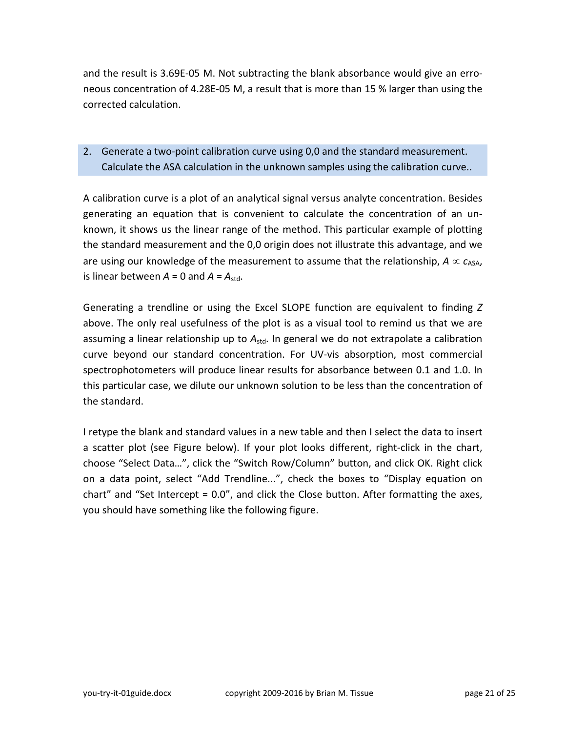and the result is 3.69E-05 M. Not subtracting the blank absorbance would give an erroneous concentration of 4.28E-05 M, a result that is more than 15 % larger than using the corrected calculation.

# 2. Generate a two-point calibration curve using 0,0 and the standard measurement. Calculate the ASA calculation in the unknown samples using the calibration curve..

A calibration curve is a plot of an analytical signal versus analyte concentration. Besides generating an equation that is convenient to calculate the concentration of an unknown, it shows us the linear range of the method. This particular example of plotting the standard measurement and the 0,0 origin does not illustrate this advantage, and we are using our knowledge of the measurement to assume that the relationship,  $A \propto c_{\text{ASA}}$ , is linear between  $A = 0$  and  $A = A_{std}$ .

Generating a trendline or using the Excel SLOPE function are equivalent to finding *Z* above. The only real usefulness of the plot is as a visual tool to remind us that we are assuming a linear relationship up to A<sub>std</sub>. In general we do not extrapolate a calibration curve beyond our standard concentration. For UV-vis absorption, most commercial spectrophotometers will produce linear results for absorbance between 0.1 and 1.0. In this particular case, we dilute our unknown solution to be less than the concentration of the standard.

I retype the blank and standard values in a new table and then I select the data to insert a scatter plot (see Figure below). If your plot looks different, right-click in the chart, choose "Select Data…", click the "Switch Row/Column" button, and click OK. Right click on a data point, select "Add Trendline...", check the boxes to "Display equation on chart" and "Set Intercept = 0.0", and click the Close button. After formatting the axes, you should have something like the following figure.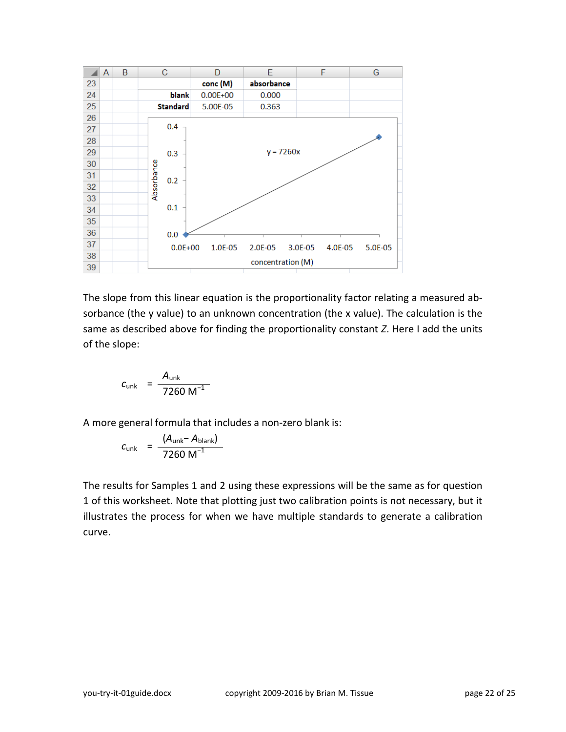

The slope from this linear equation is the proportionality factor relating a measured absorbance (the y value) to an unknown concentration (the x value). The calculation is the same as described above for finding the proportionality constant *Z*. Here I add the units of the slope:

$$
c_{\text{unk}} = \frac{A_{\text{unk}}}{7260 \text{ M}^{-1}}
$$

A more general formula that includes a non-zero blank is:

$$
c_{\rm unk} = \frac{(A_{\rm unk} - A_{\rm blank})}{7260 \, \text{M}^{-1}}
$$

The results for Samples 1 and 2 using these expressions will be the same as for question 1 of this worksheet. Note that plotting just two calibration points is not necessary, but it illustrates the process for when we have multiple standards to generate a calibration curve.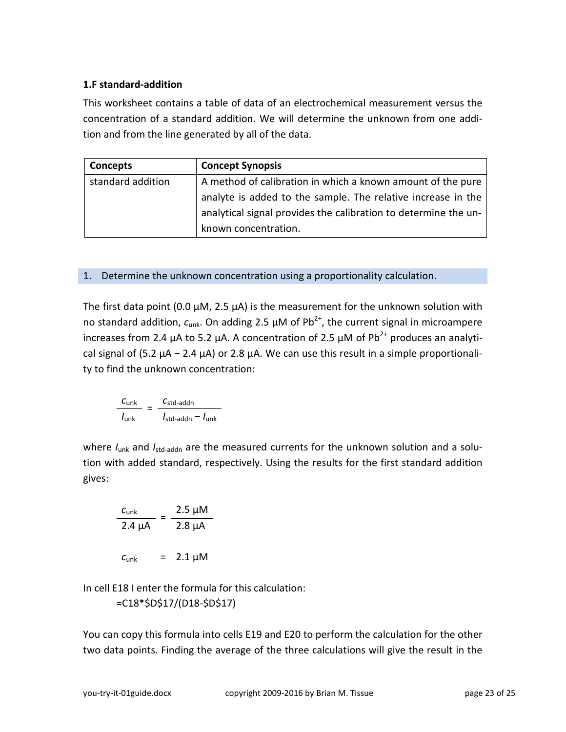## <span id="page-22-0"></span>**1.F standard-addition**

This worksheet contains a table of data of an electrochemical measurement versus the concentration of a standard addition. We will determine the unknown from one addition and from the line generated by all of the data.

| <b>Concepts</b>   | <b>Concept Synopsis</b>                                         |
|-------------------|-----------------------------------------------------------------|
| standard addition | A method of calibration in which a known amount of the pure     |
|                   | analyte is added to the sample. The relative increase in the    |
|                   | analytical signal provides the calibration to determine the un- |
|                   | known concentration.                                            |

## 1. Determine the unknown concentration using a proportionality calculation.

The first data point (0.0  $\mu$ M, 2.5  $\mu$ A) is the measurement for the unknown solution with no standard addition,  $c_{unk}$ . On adding 2.5  $\mu$ M of Pb<sup>2+</sup>, the current signal in microampere increases from 2.4 μA to 5.2 μA. A concentration of 2.5 μM of  $Pb^{2+}$  produces an analytical signal of (5.2  $\mu$ A – 2.4  $\mu$ A) or 2.8  $\mu$ A. We can use this result in a simple proportionality to find the unknown concentration:

$$
\frac{C_{\text{unk}}}{I_{\text{unk}}} = \frac{C_{\text{std-addn}}}{I_{\text{std-addn}} - I_{\text{unk}}}
$$

where *I<sub>unk</sub>* and *I<sub>std-addn</sub>* are the measured currents for the unknown solution and a solution with added standard, respectively. Using the results for the first standard addition gives:

$$
\frac{c_{\text{unk}}}{2.4 \text{ }\mu\text{A}} = \frac{2.5 \text{ }\mu\text{M}}{2.8 \text{ }\mu\text{A}}
$$

$$
c_{\text{unk}} = 2.1 \text{ }\mu\text{M}
$$

In cell E18 I enter the formula for this calculation:

=C18\*\$D\$17/(D18-\$D\$17)

You can copy this formula into cells E19 and E20 to perform the calculation for the other two data points. Finding the average of the three calculations will give the result in the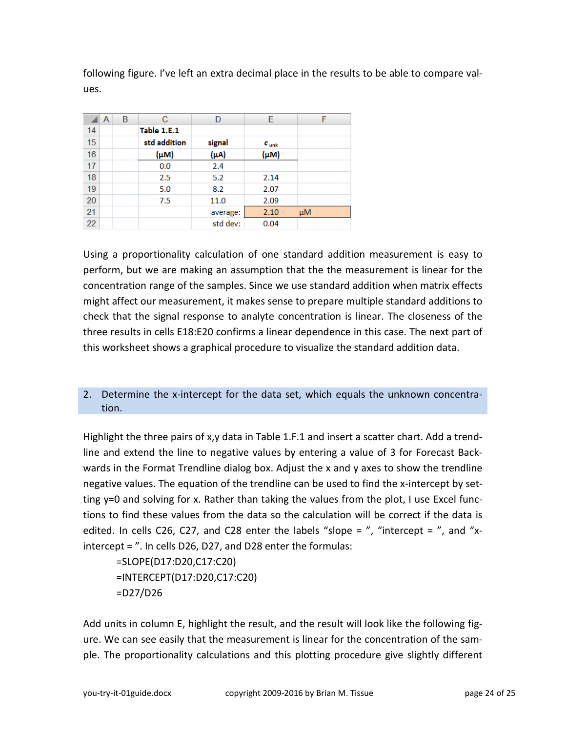following figure. I've left an extra decimal place in the results to be able to compare values.

|    | A | B | С            | D         | Е                | F       |
|----|---|---|--------------|-----------|------------------|---------|
| 14 |   |   | Table 1.E.1  |           |                  |         |
| 15 |   |   | std addition | signal    | $c_{\text{unk}}$ |         |
| 16 |   |   | $(\mu M)$    | $(\mu A)$ | $(\mu M)$        |         |
| 17 |   |   | 0.0          | 2.4       |                  |         |
| 18 |   |   | 2.5          | 5.2       | 2.14             |         |
| 19 |   |   | 5.0          | 8.2       | 2.07             |         |
| 20 |   |   | 7.5          | 11.0      | 2.09             |         |
| 21 |   |   |              | average:  | 2.10             | $\mu$ M |
| 22 |   |   |              | std dev:  | 0.04             |         |

Using a proportionality calculation of one standard addition measurement is easy to perform, but we are making an assumption that the the measurement is linear for the concentration range of the samples. Since we use standard addition when matrix effects might affect our measurement, it makes sense to prepare multiple standard additions to check that the signal response to analyte concentration is linear. The closeness of the three results in cells E18:E20 confirms a linear dependence in this case. The next part of this worksheet shows a graphical procedure to visualize the standard addition data.

## 2. Determine the x-intercept for the data set, which equals the unknown concentration.

Highlight the three pairs of x,y data in Table 1.F.1 and insert a scatter chart. Add a trendline and extend the line to negative values by entering a value of 3 for Forecast Backwards in the Format Trendline dialog box. Adjust the x and y axes to show the trendline negative values. The equation of the trendline can be used to find the x-intercept by setting y=0 and solving for x. Rather than taking the values from the plot, I use Excel functions to find these values from the data so the calculation will be correct if the data is edited. In cells C26, C27, and C28 enter the labels "slope  $=$  ", "intercept  $=$  ", and "xintercept = ". In cells D26, D27, and D28 enter the formulas:

=SLOPE(D17:D20,C17:C20) =INTERCEPT(D17:D20,C17:C20) =D27/D26

Add units in column E, highlight the result, and the result will look like the following figure. We can see easily that the measurement is linear for the concentration of the sample. The proportionality calculations and this plotting procedure give slightly different